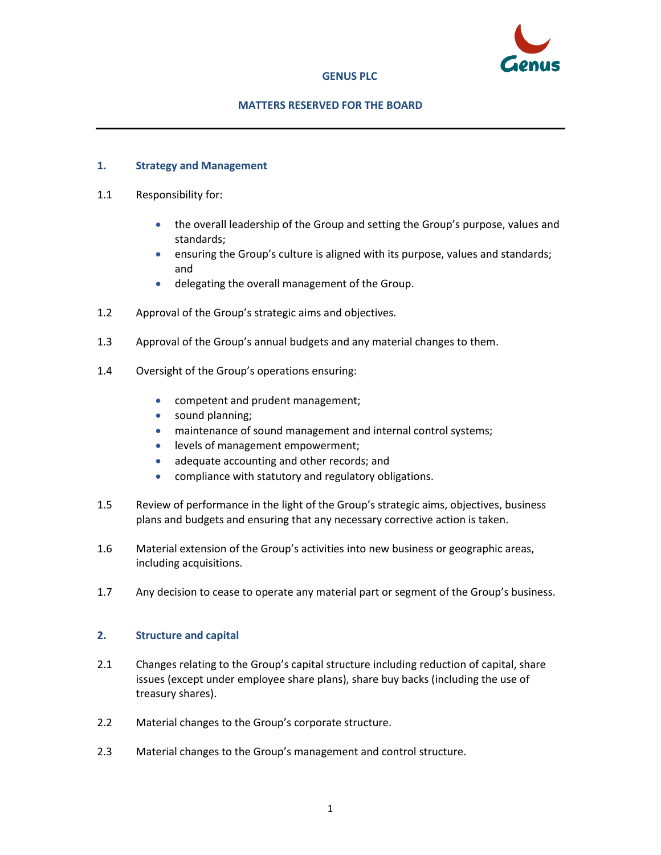

# **GENUS PLC**

# **MATTERS RESERVED FOR THE BOARD**

# **1. Strategy and Management**

- 1.1 Responsibility for:
	- the overall leadership of the Group and setting the Group's purpose, values and standards;
	- ensuring the Group's culture is aligned with its purpose, values and standards; and
	- delegating the overall management of the Group.
- 1.2 Approval of the Group's strategic aims and objectives.
- 1.3 Approval of the Group's annual budgets and any material changes to them.
- 1.4 Oversight of the Group's operations ensuring:
	- competent and prudent management;
	- sound planning;
	- maintenance of sound management and internal control systems;
	- levels of management empowerment;
	- adequate accounting and other records; and
	- compliance with statutory and regulatory obligations.
- 1.5 Review of performance in the light of the Group's strategic aims, objectives, business plans and budgets and ensuring that any necessary corrective action is taken.
- 1.6 Material extension of the Group's activities into new business or geographic areas, including acquisitions.
- 1.7 Any decision to cease to operate any material part or segment of the Group's business.

### **2. Structure and capital**

- 2.1 Changes relating to the Group's capital structure including reduction of capital, share issues (except under employee share plans), share buy backs (including the use of treasury shares).
- 2.2 Material changes to the Group's corporate structure.
- 2.3 Material changes to the Group's management and control structure.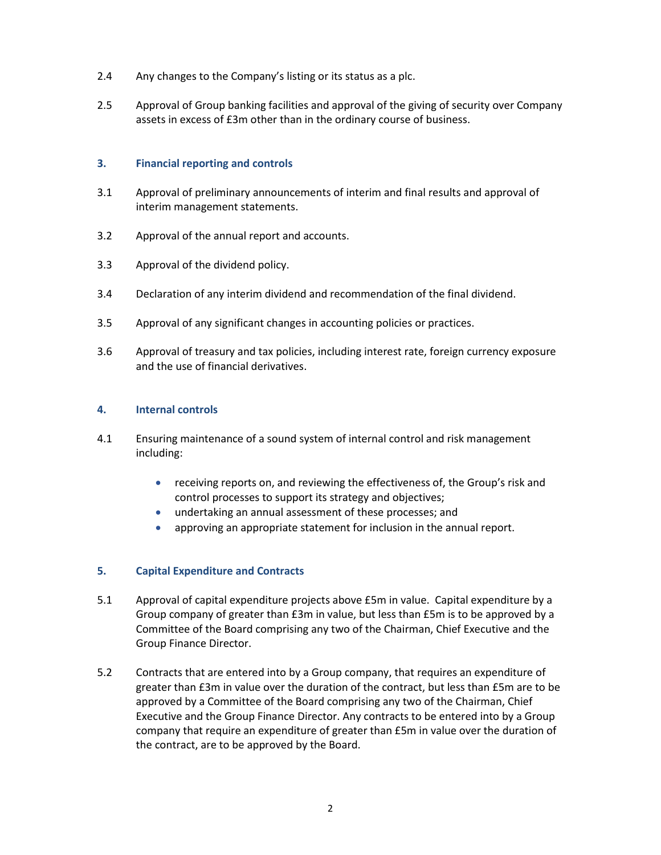- 2.4 Any changes to the Company's listing or its status as a plc.
- 2.5 Approval of Group banking facilities and approval of the giving of security over Company assets in excess of £3m other than in the ordinary course of business.

### **3. Financial reporting and controls**

- 3.1 Approval of preliminary announcements of interim and final results and approval of interim management statements.
- 3.2 Approval of the annual report and accounts.
- 3.3 Approval of the dividend policy.
- 3.4 Declaration of any interim dividend and recommendation of the final dividend.
- 3.5 Approval of any significant changes in accounting policies or practices.
- 3.6 Approval of treasury and tax policies, including interest rate, foreign currency exposure and the use of financial derivatives.

# **4. Internal controls**

- 4.1 Ensuring maintenance of a sound system of internal control and risk management including:
	- receiving reports on, and reviewing the effectiveness of, the Group's risk and control processes to support its strategy and objectives;
	- undertaking an annual assessment of these processes; and
	- approving an appropriate statement for inclusion in the annual report.

### **5. Capital Expenditure and Contracts**

- 5.1 Approval of capital expenditure projects above £5m in value. Capital expenditure by a Group company of greater than £3m in value, but less than £5m is to be approved by a Committee of the Board comprising any two of the Chairman, Chief Executive and the Group Finance Director.
- 5.2 Contracts that are entered into by a Group company, that requires an expenditure of greater than £3m in value over the duration of the contract, but less than £5m are to be approved by a Committee of the Board comprising any two of the Chairman, Chief Executive and the Group Finance Director. Any contracts to be entered into by a Group company that require an expenditure of greater than £5m in value over the duration of the contract, are to be approved by the Board.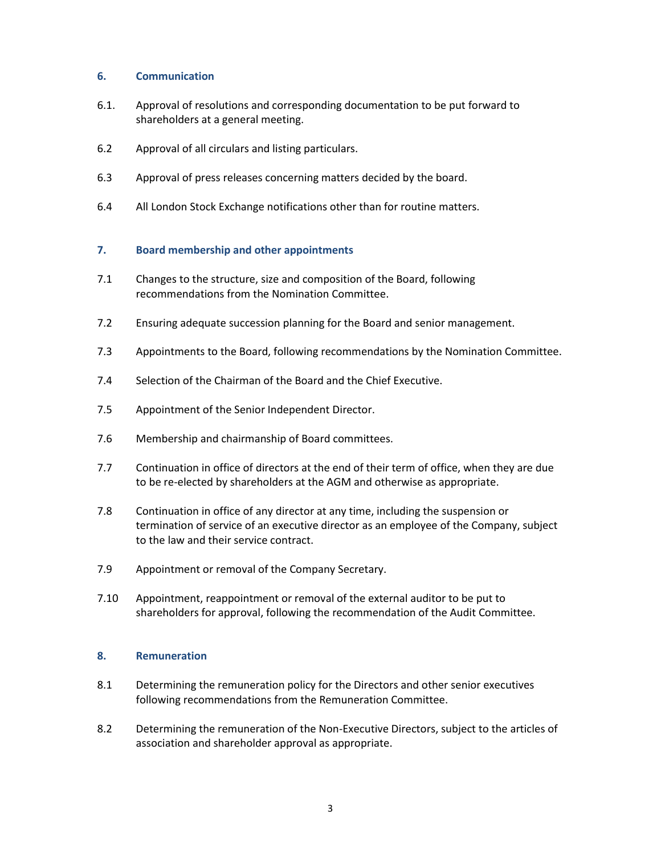# **6. Communication**

- 6.1. Approval of resolutions and corresponding documentation to be put forward to shareholders at a general meeting.
- 6.2 Approval of all circulars and listing particulars.
- 6.3 Approval of press releases concerning matters decided by the board.
- 6.4 All London Stock Exchange notifications other than for routine matters.

# **7. Board membership and other appointments**

- 7.1 Changes to the structure, size and composition of the Board, following recommendations from the Nomination Committee.
- 7.2 Ensuring adequate succession planning for the Board and senior management.
- 7.3 Appointments to the Board, following recommendations by the Nomination Committee.
- 7.4 Selection of the Chairman of the Board and the Chief Executive.
- 7.5 Appointment of the Senior Independent Director.
- 7.6 Membership and chairmanship of Board committees.
- 7.7 Continuation in office of directors at the end of their term of office, when they are due to be re-elected by shareholders at the AGM and otherwise as appropriate.
- 7.8 Continuation in office of any director at any time, including the suspension or termination of service of an executive director as an employee of the Company, subject to the law and their service contract.
- 7.9 Appointment or removal of the Company Secretary.
- 7.10 Appointment, reappointment or removal of the external auditor to be put to shareholders for approval, following the recommendation of the Audit Committee.

### **8. Remuneration**

- 8.1 Determining the remuneration policy for the Directors and other senior executives following recommendations from the Remuneration Committee.
- 8.2 Determining the remuneration of the Non-Executive Directors, subject to the articles of association and shareholder approval as appropriate.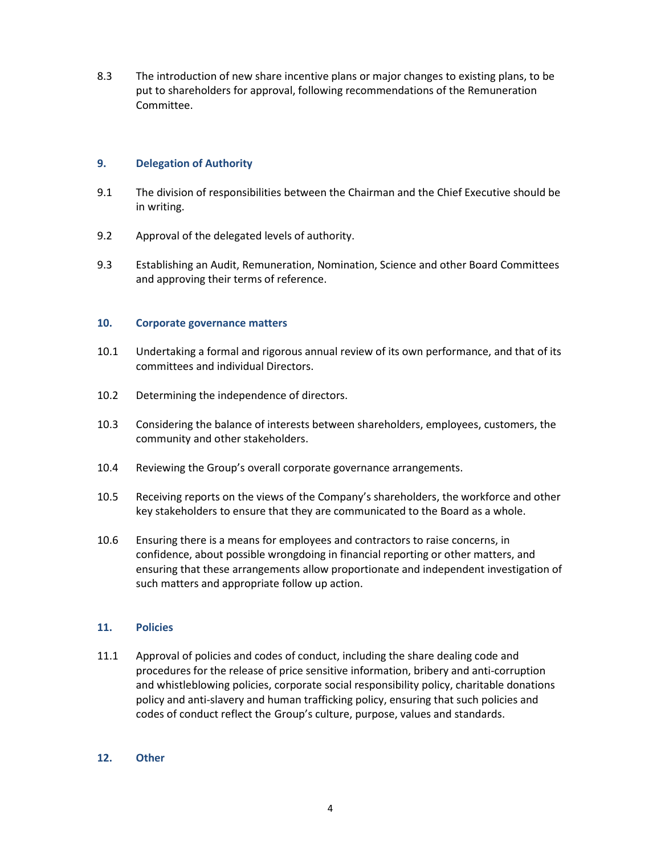8.3 The introduction of new share incentive plans or major changes to existing plans, to be put to shareholders for approval, following recommendations of the Remuneration Committee.

# **9. Delegation of Authority**

- 9.1 The division of responsibilities between the Chairman and the Chief Executive should be in writing.
- 9.2 Approval of the delegated levels of authority.
- 9.3 Establishing an Audit, Remuneration, Nomination, Science and other Board Committees and approving their terms of reference.

# **10. Corporate governance matters**

- 10.1 Undertaking a formal and rigorous annual review of its own performance, and that of its committees and individual Directors.
- 10.2 Determining the independence of directors.
- 10.3 Considering the balance of interests between shareholders, employees, customers, the community and other stakeholders.
- 10.4 Reviewing the Group's overall corporate governance arrangements.
- 10.5 Receiving reports on the views of the Company's shareholders, the workforce and other key stakeholders to ensure that they are communicated to the Board as a whole.
- 10.6 Ensuring there is a means for employees and contractors to raise concerns, in confidence, about possible wrongdoing in financial reporting or other matters, and ensuring that these arrangements allow proportionate and independent investigation of such matters and appropriate follow up action.

# **11. Policies**

11.1 Approval of policies and codes of conduct, including the share dealing code and procedures for the release of price sensitive information, bribery and anti-corruption and whistleblowing policies, corporate social responsibility policy, charitable donations policy and anti-slavery and human trafficking policy, ensuring that such policies and codes of conduct reflect the Group's culture, purpose, values and standards.

### **12. Other**